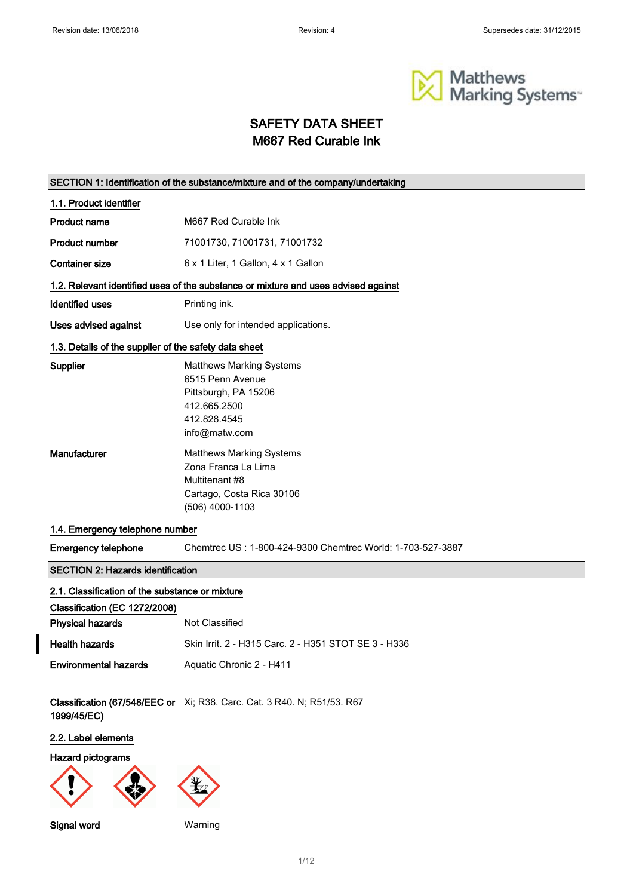$\overline{\phantom{a}}$ 



### SAFETY DATA SHEET M667 Red Curable Ink

|                                                       | SECTION 1: Identification of the substance/mixture and of the company/undertaking                                            |
|-------------------------------------------------------|------------------------------------------------------------------------------------------------------------------------------|
| 1.1. Product identifier                               |                                                                                                                              |
| <b>Product name</b>                                   | M667 Red Curable Ink                                                                                                         |
| <b>Product number</b>                                 | 71001730, 71001731, 71001732                                                                                                 |
| <b>Container size</b>                                 | 6 x 1 Liter, 1 Gallon, 4 x 1 Gallon                                                                                          |
|                                                       | 1.2. Relevant identified uses of the substance or mixture and uses advised against                                           |
| <b>Identified uses</b>                                | Printing ink.                                                                                                                |
| Uses advised against                                  | Use only for intended applications.                                                                                          |
| 1.3. Details of the supplier of the safety data sheet |                                                                                                                              |
| Supplier                                              | <b>Matthews Marking Systems</b><br>6515 Penn Avenue<br>Pittsburgh, PA 15206<br>412.665.2500<br>412.828.4545<br>info@matw.com |
| Manufacturer                                          | <b>Matthews Marking Systems</b><br>Zona Franca La Lima<br>Multitenant #8<br>Cartago, Costa Rica 30106<br>(506) 4000-1103     |
| 1.4. Emergency telephone number                       |                                                                                                                              |
| <b>Emergency telephone</b>                            | Chemtrec US: 1-800-424-9300 Chemtrec World: 1-703-527-3887                                                                   |
| <b>SECTION 2: Hazards identification</b>              |                                                                                                                              |
| 2.1. Classification of the substance or mixture       |                                                                                                                              |
| Classification (EC 1272/2008)                         |                                                                                                                              |
| <b>Physical hazards</b>                               | Not Classified                                                                                                               |
| <b>Health hazards</b>                                 | Skin Irrit. 2 - H315 Carc. 2 - H351 STOT SE 3 - H336                                                                         |
| <b>Environmental hazards</b>                          | Aquatic Chronic 2 - H411                                                                                                     |
| 1999/45/EC)                                           | Classification (67/548/EEC or Xi; R38. Carc. Cat. 3 R40. N; R51/53. R67                                                      |
| 2.2. Label elements                                   |                                                                                                                              |
| <b>Hazard pictograms</b>                              |                                                                                                                              |
|                                                       |                                                                                                                              |
| Signal word                                           | Warning                                                                                                                      |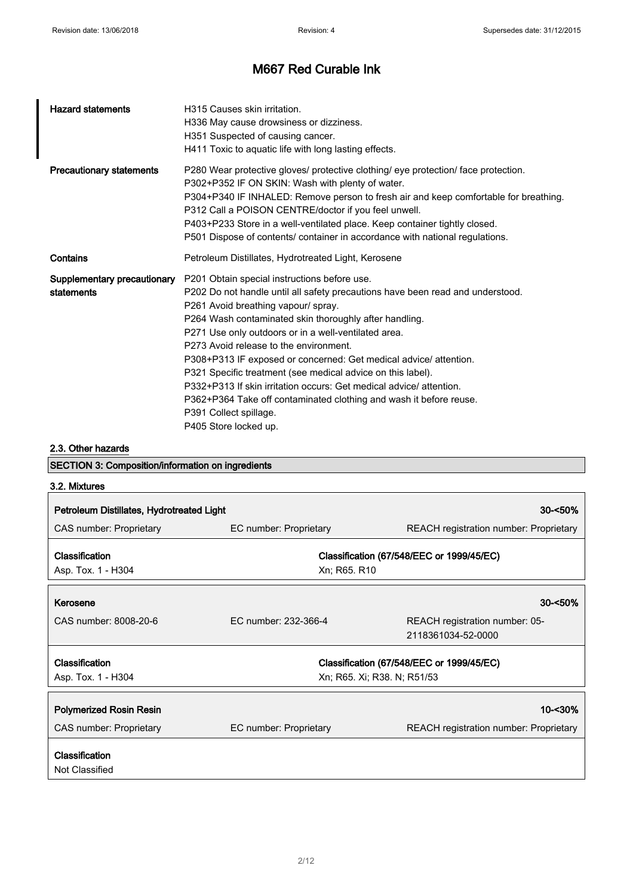| <b>Hazard statements</b>                  | H315 Causes skin irritation.<br>H336 May cause drowsiness or dizziness.<br>H351 Suspected of causing cancer.<br>H411 Toxic to aquatic life with long lasting effects.                                                                                                                                                                                                                                                                                                                                                                                                                                                                                                |
|-------------------------------------------|----------------------------------------------------------------------------------------------------------------------------------------------------------------------------------------------------------------------------------------------------------------------------------------------------------------------------------------------------------------------------------------------------------------------------------------------------------------------------------------------------------------------------------------------------------------------------------------------------------------------------------------------------------------------|
| <b>Precautionary statements</b>           | P280 Wear protective gloves/ protective clothing/ eye protection/ face protection.<br>P302+P352 IF ON SKIN: Wash with plenty of water.<br>P304+P340 IF INHALED: Remove person to fresh air and keep comfortable for breathing.<br>P312 Call a POISON CENTRE/doctor if you feel unwell.<br>P403+P233 Store in a well-ventilated place. Keep container tightly closed.<br>P501 Dispose of contents/ container in accordance with national regulations.                                                                                                                                                                                                                 |
| Contains                                  | Petroleum Distillates, Hydrotreated Light, Kerosene                                                                                                                                                                                                                                                                                                                                                                                                                                                                                                                                                                                                                  |
| Supplementary precautionary<br>statements | P201 Obtain special instructions before use.<br>P202 Do not handle until all safety precautions have been read and understood.<br>P261 Avoid breathing vapour/ spray.<br>P264 Wash contaminated skin thoroughly after handling.<br>P271 Use only outdoors or in a well-ventilated area.<br>P273 Avoid release to the environment.<br>P308+P313 IF exposed or concerned: Get medical advice/ attention.<br>P321 Specific treatment (see medical advice on this label).<br>P332+P313 If skin irritation occurs: Get medical advice/attention.<br>P362+P364 Take off contaminated clothing and wash it before reuse.<br>P391 Collect spillage.<br>P405 Store locked up. |

2.3. Other hazards

SECTION 3: Composition/information on ingredients

| 3.2. Mixtures                             |                        |                                                           |
|-------------------------------------------|------------------------|-----------------------------------------------------------|
| Petroleum Distillates, Hydrotreated Light |                        | $30 - 50%$                                                |
| CAS number: Proprietary                   | EC number: Proprietary | REACH registration number: Proprietary                    |
| Classification<br>Asp. Tox. 1 - H304      |                        | Classification (67/548/EEC or 1999/45/EC)<br>Xn; R65. R10 |
| Kerosene                                  |                        | $30 - 50\%$                                               |
| CAS number: 8008-20-6                     | EC number: 232-366-4   | REACH registration number: 05-<br>2118361034-52-0000      |
| Classification                            |                        | Classification (67/548/EEC or 1999/45/EC)                 |
| Asp. Tox. 1 - H304                        |                        | Xn; R65. Xi; R38. N; R51/53                               |
| <b>Polymerized Rosin Resin</b>            |                        | 10-<30%                                                   |
| CAS number: Proprietary                   | EC number: Proprietary | <b>REACH</b> registration number: Proprietary             |
| <b>Classification</b><br>Not Classified   |                        |                                                           |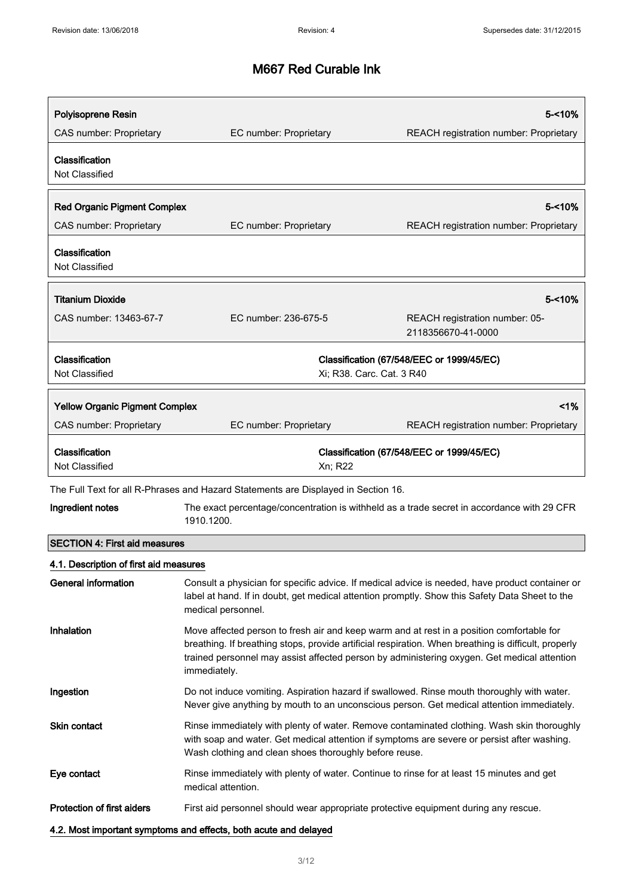| Polyisoprene Resin                      |                                                                                                                 | 5-<10%                                                                                                                                                                                              |
|-----------------------------------------|-----------------------------------------------------------------------------------------------------------------|-----------------------------------------------------------------------------------------------------------------------------------------------------------------------------------------------------|
| <b>CAS number: Proprietary</b>          | EC number: Proprietary                                                                                          | REACH registration number: Proprietary                                                                                                                                                              |
| Classification<br>Not Classified        |                                                                                                                 |                                                                                                                                                                                                     |
| <b>Red Organic Pigment Complex</b>      |                                                                                                                 | 5-<10%                                                                                                                                                                                              |
| CAS number: Proprietary                 | EC number: Proprietary                                                                                          | REACH registration number: Proprietary                                                                                                                                                              |
| Classification<br>Not Classified        |                                                                                                                 |                                                                                                                                                                                                     |
| <b>Titanium Dioxide</b>                 |                                                                                                                 | 5-<10%                                                                                                                                                                                              |
| CAS number: 13463-67-7                  | EC number: 236-675-5                                                                                            | REACH registration number: 05-<br>2118356670-41-0000                                                                                                                                                |
| Classification<br><b>Not Classified</b> | Xi; R38. Carc. Cat. 3 R40                                                                                       | Classification (67/548/EEC or 1999/45/EC)                                                                                                                                                           |
| <b>Yellow Organic Pigment Complex</b>   |                                                                                                                 | 1%                                                                                                                                                                                                  |
| CAS number: Proprietary                 | EC number: Proprietary                                                                                          | REACH registration number: Proprietary                                                                                                                                                              |
| Classification<br>Not Classified        | Xn; R22                                                                                                         | Classification (67/548/EEC or 1999/45/EC)                                                                                                                                                           |
|                                         | The Full Text for all R-Phrases and Hazard Statements are Displayed in Section 16.                              |                                                                                                                                                                                                     |
| Ingredient notes                        | 1910.1200.                                                                                                      | The exact percentage/concentration is withheld as a trade secret in accordance with 29 CFR                                                                                                          |
| <b>SECTION 4: First aid measures</b>    |                                                                                                                 |                                                                                                                                                                                                     |
| 4.1. Description of first aid measures  |                                                                                                                 |                                                                                                                                                                                                     |
| <b>General information</b>              | medical personnel.                                                                                              | Consult a physician for specific advice. If medical advice is needed, have product container or<br>label at hand. If in doubt, get medical attention promptly. Show this Safety Data Sheet to the   |
| <b>Inhalation</b>                       | Move affected person to fresh air and keep warm and at rest in a position comfortable for<br>immediately.       | breathing. If breathing stops, provide artificial respiration. When breathing is difficult, properly<br>trained personnel may assist affected person by administering oxygen. Get medical attention |
| Ingestion                               |                                                                                                                 | Do not induce vomiting. Aspiration hazard if swallowed. Rinse mouth thoroughly with water.<br>Never give anything by mouth to an unconscious person. Get medical attention immediately.             |
| <b>Skin contact</b>                     | Wash clothing and clean shoes thoroughly before reuse.                                                          | Rinse immediately with plenty of water. Remove contaminated clothing. Wash skin thoroughly<br>with soap and water. Get medical attention if symptoms are severe or persist after washing.           |
| Eye contact                             | Rinse immediately with plenty of water. Continue to rinse for at least 15 minutes and get<br>medical attention. |                                                                                                                                                                                                     |
| Protection of first aiders              | First aid personnel should wear appropriate protective equipment during any rescue.                             |                                                                                                                                                                                                     |
|                                         | 4.2. Most important symptoms and effects, both acute and delayed                                                |                                                                                                                                                                                                     |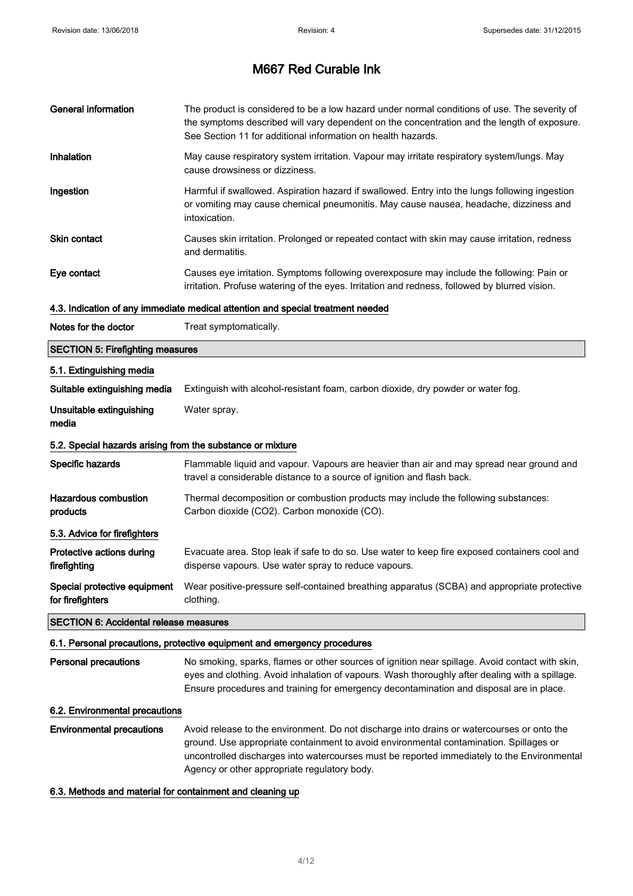| <b>General information</b>                                               | The product is considered to be a low hazard under normal conditions of use. The severity of<br>the symptoms described will vary dependent on the concentration and the length of exposure.<br>See Section 11 for additional information on health hazards.                                  |  |
|--------------------------------------------------------------------------|----------------------------------------------------------------------------------------------------------------------------------------------------------------------------------------------------------------------------------------------------------------------------------------------|--|
| <b>Inhalation</b>                                                        | May cause respiratory system irritation. Vapour may irritate respiratory system/lungs. May<br>cause drowsiness or dizziness.                                                                                                                                                                 |  |
| Ingestion                                                                | Harmful if swallowed. Aspiration hazard if swallowed. Entry into the lungs following ingestion<br>or vomiting may cause chemical pneumonitis. May cause nausea, headache, dizziness and<br>intoxication.                                                                                     |  |
| <b>Skin contact</b>                                                      | Causes skin irritation. Prolonged or repeated contact with skin may cause irritation, redness<br>and dermatitis.                                                                                                                                                                             |  |
| Eye contact                                                              | Causes eye irritation. Symptoms following overexposure may include the following: Pain or<br>irritation. Profuse watering of the eyes. Irritation and redness, followed by blurred vision.                                                                                                   |  |
|                                                                          | 4.3. Indication of any immediate medical attention and special treatment needed                                                                                                                                                                                                              |  |
| Notes for the doctor                                                     | Treat symptomatically.                                                                                                                                                                                                                                                                       |  |
| <b>SECTION 5: Firefighting measures</b>                                  |                                                                                                                                                                                                                                                                                              |  |
| 5.1. Extinguishing media                                                 |                                                                                                                                                                                                                                                                                              |  |
| Suitable extinguishing media                                             | Extinguish with alcohol-resistant foam, carbon dioxide, dry powder or water fog.                                                                                                                                                                                                             |  |
| Unsuitable extinguishing<br>media                                        | Water spray.                                                                                                                                                                                                                                                                                 |  |
| 5.2. Special hazards arising from the substance or mixture               |                                                                                                                                                                                                                                                                                              |  |
| Specific hazards                                                         | Flammable liquid and vapour. Vapours are heavier than air and may spread near ground and<br>travel a considerable distance to a source of ignition and flash back.                                                                                                                           |  |
| <b>Hazardous combustion</b><br>products                                  | Thermal decomposition or combustion products may include the following substances:<br>Carbon dioxide (CO2). Carbon monoxide (CO).                                                                                                                                                            |  |
| 5.3. Advice for firefighters                                             |                                                                                                                                                                                                                                                                                              |  |
| Protective actions during<br>firefighting                                | Evacuate area. Stop leak if safe to do so. Use water to keep fire exposed containers cool and<br>disperse vapours. Use water spray to reduce vapours.                                                                                                                                        |  |
| Special protective equipment<br>for firefighters                         | Wear positive-pressure self-contained breathing apparatus (SCBA) and appropriate protective<br>clothing.                                                                                                                                                                                     |  |
| <b>SECTION 6: Accidental release measures</b>                            |                                                                                                                                                                                                                                                                                              |  |
| 6.1. Personal precautions, protective equipment and emergency procedures |                                                                                                                                                                                                                                                                                              |  |
| <b>Personal precautions</b>                                              | No smoking, sparks, flames or other sources of ignition near spillage. Avoid contact with skin,<br>eyes and clothing. Avoid inhalation of vapours. Wash thoroughly after dealing with a spillage.<br>Ensure procedures and training for emergency decontamination and disposal are in place. |  |
| 6.2. Environmental precautions                                           |                                                                                                                                                                                                                                                                                              |  |
| <b>Environmental precautions</b>                                         | Avoid release to the environment. Do not discharge into drains or watercourses or onto the<br>ground. Use appropriate containment to avoid environmental contamination. Spillages or<br>uncontrolled discharges into watercourses must be reported immediately to the Environmental          |  |

6.3. Methods and material for containment and cleaning up

Agency or other appropriate regulatory body.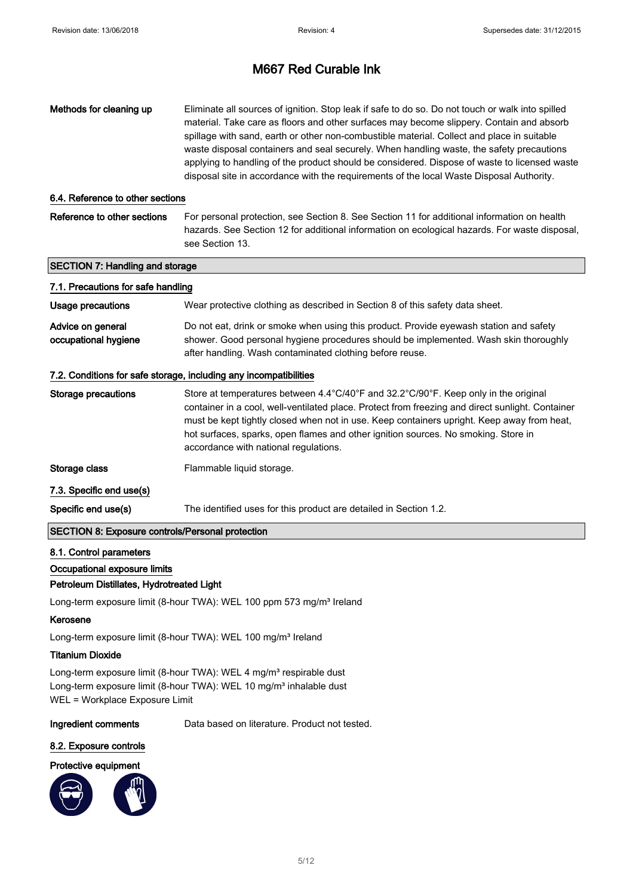| Methods for cleaning up                                                                              | Eliminate all sources of ignition. Stop leak if safe to do so. Do not touch or walk into spilled<br>material. Take care as floors and other surfaces may become slippery. Contain and absorb<br>spillage with sand, earth or other non-combustible material. Collect and place in suitable<br>waste disposal containers and seal securely. When handling waste, the safety precautions<br>applying to handling of the product should be considered. Dispose of waste to licensed waste<br>disposal site in accordance with the requirements of the local Waste Disposal Authority. |  |
|------------------------------------------------------------------------------------------------------|------------------------------------------------------------------------------------------------------------------------------------------------------------------------------------------------------------------------------------------------------------------------------------------------------------------------------------------------------------------------------------------------------------------------------------------------------------------------------------------------------------------------------------------------------------------------------------|--|
| 6.4. Reference to other sections                                                                     |                                                                                                                                                                                                                                                                                                                                                                                                                                                                                                                                                                                    |  |
| Reference to other sections                                                                          | For personal protection, see Section 8. See Section 11 for additional information on health<br>hazards. See Section 12 for additional information on ecological hazards. For waste disposal,<br>see Section 13.                                                                                                                                                                                                                                                                                                                                                                    |  |
| <b>SECTION 7: Handling and storage</b>                                                               |                                                                                                                                                                                                                                                                                                                                                                                                                                                                                                                                                                                    |  |
| 7.1. Precautions for safe handling                                                                   |                                                                                                                                                                                                                                                                                                                                                                                                                                                                                                                                                                                    |  |
| <b>Usage precautions</b>                                                                             | Wear protective clothing as described in Section 8 of this safety data sheet.                                                                                                                                                                                                                                                                                                                                                                                                                                                                                                      |  |
| Advice on general<br>occupational hygiene                                                            | Do not eat, drink or smoke when using this product. Provide eyewash station and safety<br>shower. Good personal hygiene procedures should be implemented. Wash skin thoroughly<br>after handling. Wash contaminated clothing before reuse.                                                                                                                                                                                                                                                                                                                                         |  |
|                                                                                                      | 7.2. Conditions for safe storage, including any incompatibilities                                                                                                                                                                                                                                                                                                                                                                                                                                                                                                                  |  |
| <b>Storage precautions</b>                                                                           | Store at temperatures between 4.4°C/40°F and 32.2°C/90°F. Keep only in the original<br>container in a cool, well-ventilated place. Protect from freezing and direct sunlight. Container<br>must be kept tightly closed when not in use. Keep containers upright. Keep away from heat,<br>hot surfaces, sparks, open flames and other ignition sources. No smoking. Store in<br>accordance with national regulations.                                                                                                                                                               |  |
| Storage class                                                                                        | Flammable liquid storage.                                                                                                                                                                                                                                                                                                                                                                                                                                                                                                                                                          |  |
| 7.3. Specific end use(s)                                                                             |                                                                                                                                                                                                                                                                                                                                                                                                                                                                                                                                                                                    |  |
| Specific end use(s)                                                                                  | The identified uses for this product are detailed in Section 1.2.                                                                                                                                                                                                                                                                                                                                                                                                                                                                                                                  |  |
| SECTION 8: Exposure controls/Personal protection                                                     |                                                                                                                                                                                                                                                                                                                                                                                                                                                                                                                                                                                    |  |
| 8.1. Control parameters<br>Occupational exposure limits<br>Petroleum Distillates, Hydrotreated Light |                                                                                                                                                                                                                                                                                                                                                                                                                                                                                                                                                                                    |  |

Long-term exposure limit (8-hour TWA): WEL 100 ppm 573 mg/m<sup>3</sup> Ireland

#### Kerosene

Long-term exposure limit (8-hour TWA): WEL 100 mg/m<sup>3</sup> Ireland

#### Titanium Dioxide

Long-term exposure limit (8-hour TWA): WEL 4 mg/m<sup>3</sup> respirable dust Long-term exposure limit (8-hour TWA): WEL 10 mg/m<sup>3</sup> inhalable dust WEL = Workplace Exposure Limit

Ingredient comments Data based on literature. Product not tested.

#### 8.2. Exposure controls

#### Protective equipment

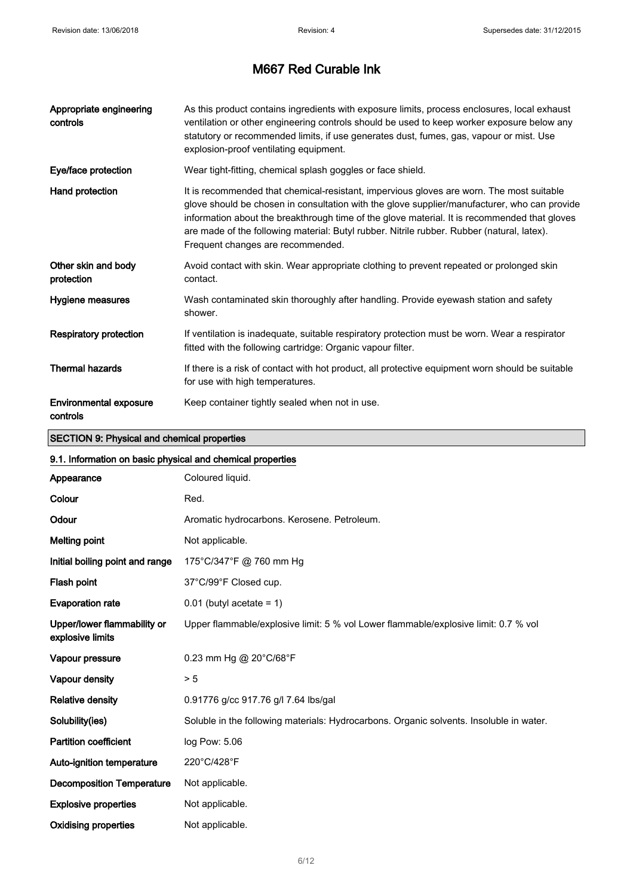| Appropriate engineering<br>controls | As this product contains ingredients with exposure limits, process enclosures, local exhaust<br>ventilation or other engineering controls should be used to keep worker exposure below any<br>statutory or recommended limits, if use generates dust, fumes, gas, vapour or mist. Use<br>explosion-proof ventilating equipment.                                                                                             |
|-------------------------------------|-----------------------------------------------------------------------------------------------------------------------------------------------------------------------------------------------------------------------------------------------------------------------------------------------------------------------------------------------------------------------------------------------------------------------------|
| Eye/face protection                 | Wear tight-fitting, chemical splash goggles or face shield.                                                                                                                                                                                                                                                                                                                                                                 |
| Hand protection                     | It is recommended that chemical-resistant, impervious gloves are worn. The most suitable<br>glove should be chosen in consultation with the glove supplier/manufacturer, who can provide<br>information about the breakthrough time of the glove material. It is recommended that gloves<br>are made of the following material: Butyl rubber. Nitrile rubber. Rubber (natural, latex).<br>Frequent changes are recommended. |
| Other skin and body<br>protection   | Avoid contact with skin. Wear appropriate clothing to prevent repeated or prolonged skin<br>contact.                                                                                                                                                                                                                                                                                                                        |
| Hygiene measures                    | Wash contaminated skin thoroughly after handling. Provide eyewash station and safety<br>shower.                                                                                                                                                                                                                                                                                                                             |
| <b>Respiratory protection</b>       | If ventilation is inadequate, suitable respiratory protection must be worn. Wear a respirator<br>fitted with the following cartridge: Organic vapour filter.                                                                                                                                                                                                                                                                |
| <b>Thermal hazards</b>              | If there is a risk of contact with hot product, all protective equipment worn should be suitable<br>for use with high temperatures.                                                                                                                                                                                                                                                                                         |
| Environmental exposure<br>controls  | Keep container tightly sealed when not in use.                                                                                                                                                                                                                                                                                                                                                                              |

### SECTION 9: Physical and chemical properties

| 9.1. Information on basic physical and chemical properties |                                                                                         |  |
|------------------------------------------------------------|-----------------------------------------------------------------------------------------|--|
| Appearance                                                 | Coloured liquid.                                                                        |  |
| Colour                                                     | Red.                                                                                    |  |
| Odour                                                      | Aromatic hydrocarbons. Kerosene. Petroleum.                                             |  |
| <b>Melting point</b>                                       | Not applicable.                                                                         |  |
| Initial boiling point and range                            | 175°C/347°F @ 760 mm Hg                                                                 |  |
| Flash point                                                | 37°C/99°F Closed cup.                                                                   |  |
| <b>Evaporation rate</b>                                    | $0.01$ (butyl acetate = 1)                                                              |  |
| Upper/lower flammability or<br>explosive limits            | Upper flammable/explosive limit: 5 % vol Lower flammable/explosive limit: 0.7 % vol     |  |
| Vapour pressure                                            | 0.23 mm Hg @ 20°C/68°F                                                                  |  |
| Vapour density                                             | > 5                                                                                     |  |
| <b>Relative density</b>                                    | 0.91776 g/cc 917.76 g/l 7.64 lbs/gal                                                    |  |
| Solubility(ies)                                            | Soluble in the following materials: Hydrocarbons. Organic solvents. Insoluble in water. |  |
| <b>Partition coefficient</b>                               | log Pow: 5.06                                                                           |  |
| Auto-ignition temperature                                  | 220°C/428°F                                                                             |  |
| <b>Decomposition Temperature</b>                           | Not applicable.                                                                         |  |
| <b>Explosive properties</b>                                | Not applicable.                                                                         |  |
| <b>Oxidising properties</b>                                | Not applicable.                                                                         |  |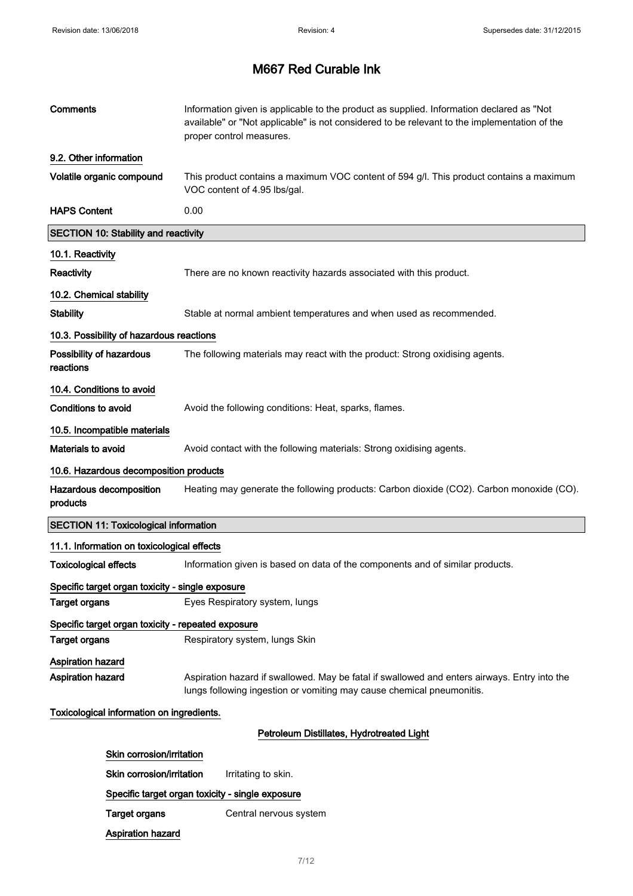| <b>Comments</b>                                      | Information given is applicable to the product as supplied. Information declared as "Not<br>available" or "Not applicable" is not considered to be relevant to the implementation of the<br>proper control measures. |  |
|------------------------------------------------------|----------------------------------------------------------------------------------------------------------------------------------------------------------------------------------------------------------------------|--|
| 9.2. Other information                               |                                                                                                                                                                                                                      |  |
| Volatile organic compound                            | This product contains a maximum VOC content of 594 g/l. This product contains a maximum<br>VOC content of 4.95 lbs/gal.                                                                                              |  |
| <b>HAPS Content</b>                                  | 0.00                                                                                                                                                                                                                 |  |
| <b>SECTION 10: Stability and reactivity</b>          |                                                                                                                                                                                                                      |  |
| 10.1. Reactivity                                     |                                                                                                                                                                                                                      |  |
| <b>Reactivity</b>                                    | There are no known reactivity hazards associated with this product.                                                                                                                                                  |  |
| 10.2. Chemical stability                             |                                                                                                                                                                                                                      |  |
| <b>Stability</b>                                     | Stable at normal ambient temperatures and when used as recommended.                                                                                                                                                  |  |
| 10.3. Possibility of hazardous reactions             |                                                                                                                                                                                                                      |  |
| Possibility of hazardous<br>reactions                | The following materials may react with the product: Strong oxidising agents.                                                                                                                                         |  |
| 10.4. Conditions to avoid                            |                                                                                                                                                                                                                      |  |
| Conditions to avoid                                  | Avoid the following conditions: Heat, sparks, flames.                                                                                                                                                                |  |
| 10.5. Incompatible materials                         |                                                                                                                                                                                                                      |  |
| Materials to avoid                                   | Avoid contact with the following materials: Strong oxidising agents.                                                                                                                                                 |  |
| 10.6. Hazardous decomposition products               |                                                                                                                                                                                                                      |  |
| Hazardous decomposition<br>products                  | Heating may generate the following products: Carbon dioxide (CO2). Carbon monoxide (CO).                                                                                                                             |  |
| <b>SECTION 11: Toxicological information</b>         |                                                                                                                                                                                                                      |  |
| 11.1. Information on toxicological effects           |                                                                                                                                                                                                                      |  |
| <b>Toxicological effects</b>                         | Information given is based on data of the components and of similar products.                                                                                                                                        |  |
| Specific target organ toxicity - single exposure     |                                                                                                                                                                                                                      |  |
| <b>Target organs</b>                                 | Eyes Respiratory system, lungs                                                                                                                                                                                       |  |
| Specific target organ toxicity - repeated exposure   |                                                                                                                                                                                                                      |  |
| <b>Target organs</b>                                 | Respiratory system, lungs Skin                                                                                                                                                                                       |  |
| <b>Aspiration hazard</b><br><b>Aspiration hazard</b> | Aspiration hazard if swallowed. May be fatal if swallowed and enters airways. Entry into the<br>lungs following ingestion or vomiting may cause chemical pneumonitis.                                                |  |
| Toxicological information on ingredients.            |                                                                                                                                                                                                                      |  |
|                                                      | Petroleum Distillates, Hydrotreated Light                                                                                                                                                                            |  |
| Skin corrosion/irritation                            |                                                                                                                                                                                                                      |  |
| Skin corrosion/irritation                            | Irritating to skin.                                                                                                                                                                                                  |  |
|                                                      | Specific target organ toxicity - single exposure                                                                                                                                                                     |  |
| <b>Target organs</b>                                 | Central nervous system                                                                                                                                                                                               |  |
| <b>Aspiration hazard</b>                             |                                                                                                                                                                                                                      |  |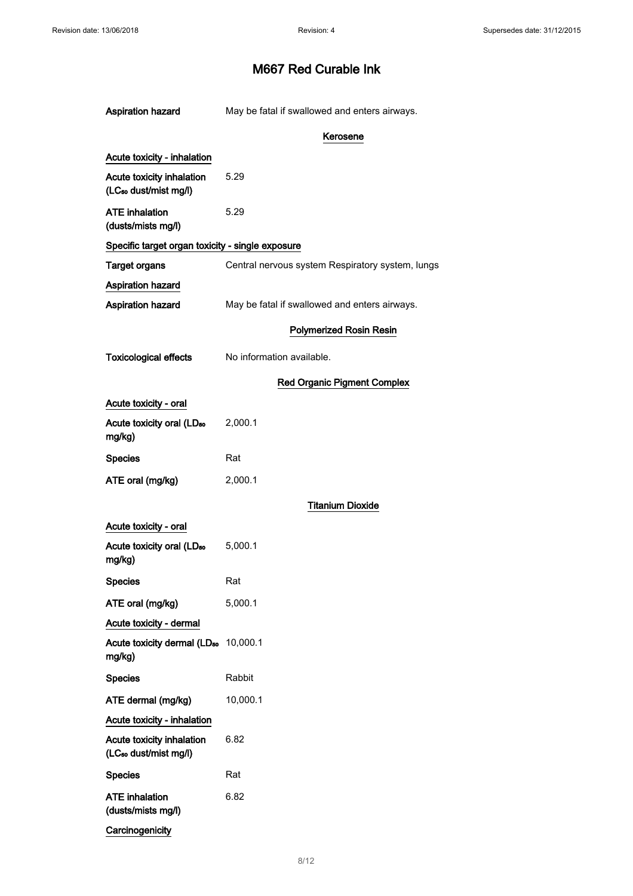| Aspiration hazard                                              | May be fatal if swallowed and enters airways.    |
|----------------------------------------------------------------|--------------------------------------------------|
|                                                                | Kerosene                                         |
| Acute toxicity - inhalation                                    |                                                  |
| Acute toxicity inhalation<br>(LC <sub>50</sub> dust/mist mg/l) | 5.29                                             |
| <b>ATE</b> inhalation<br>(dusts/mists mg/l)                    | 5.29                                             |
| Specific target organ toxicity - single exposure               |                                                  |
| <b>Target organs</b>                                           | Central nervous system Respiratory system, lungs |
| <b>Aspiration hazard</b>                                       |                                                  |
| Aspiration hazard                                              | May be fatal if swallowed and enters airways.    |
|                                                                | <b>Polymerized Rosin Resin</b>                   |
| <b>Toxicological effects</b>                                   | No information available.                        |
|                                                                | <b>Red Organic Pigment Complex</b>               |
| Acute toxicity - oral                                          |                                                  |
| Acute toxicity oral (LD <sub>50</sub><br>mg/kg)                | 2,000.1                                          |
| <b>Species</b>                                                 | Rat                                              |
| ATE oral (mg/kg)                                               | 2,000.1                                          |
|                                                                | <b>Titanium Dioxide</b>                          |
| Acute toxicity - oral                                          |                                                  |
| Acute toxicity oral (LD <sub>50</sub><br>mg/kg)                | 5,000.1                                          |
| <b>Species</b>                                                 | Rat                                              |
| ATE oral (mg/kg)                                               | 5,000.1                                          |
| Acute toxicity - dermal                                        |                                                  |
| Acute toxicity dermal (LD <sub>50</sub> 10,000.1<br>mg/kg)     |                                                  |
| <b>Species</b>                                                 | Rabbit                                           |
| ATE dermal (mg/kg)                                             | 10,000.1                                         |
| Acute toxicity - inhalation                                    |                                                  |
| Acute toxicity inhalation<br>(LC <sub>50</sub> dust/mist mg/l) | 6.82                                             |
| <b>Species</b>                                                 | Rat                                              |
| <b>ATE</b> inhalation<br>(dusts/mists mg/l)                    | 6.82                                             |
| Carcinogenicity                                                |                                                  |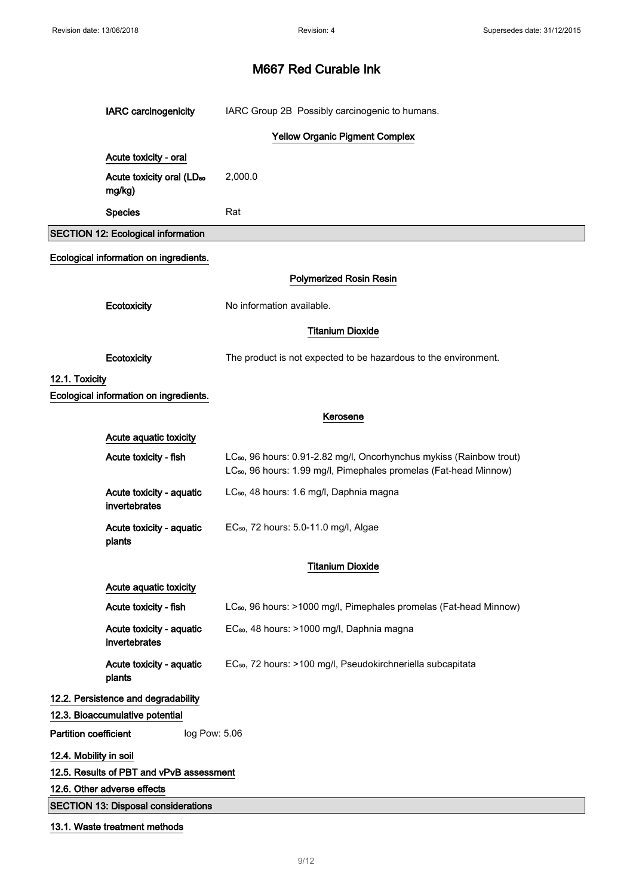|                              | <b>IARC</b> carcinogenicity                     | IARC Group 2B Possibly carcinogenic to humans.                                                                                                                    |
|------------------------------|-------------------------------------------------|-------------------------------------------------------------------------------------------------------------------------------------------------------------------|
|                              |                                                 | <b>Yellow Organic Pigment Complex</b>                                                                                                                             |
|                              | Acute toxicity - oral                           |                                                                                                                                                                   |
|                              | Acute toxicity oral (LD <sub>50</sub><br>mg/kg) | 2,000.0                                                                                                                                                           |
|                              | <b>Species</b>                                  | Rat                                                                                                                                                               |
|                              | <b>SECTION 12: Ecological information</b>       |                                                                                                                                                                   |
|                              | Ecological information on ingredients.          |                                                                                                                                                                   |
|                              |                                                 | <b>Polymerized Rosin Resin</b>                                                                                                                                    |
|                              | Ecotoxicity                                     | No information available.                                                                                                                                         |
|                              |                                                 | <b>Titanium Dioxide</b>                                                                                                                                           |
|                              | Ecotoxicity                                     | The product is not expected to be hazardous to the environment.                                                                                                   |
| 12.1. Toxicity               |                                                 |                                                                                                                                                                   |
|                              | Ecological information on ingredients.          |                                                                                                                                                                   |
|                              |                                                 | Kerosene                                                                                                                                                          |
|                              | Acute aquatic toxicity                          |                                                                                                                                                                   |
|                              | Acute toxicity - fish                           | LC <sub>50</sub> , 96 hours: 0.91-2.82 mg/l, Oncorhynchus mykiss (Rainbow trout)<br>LC <sub>50</sub> , 96 hours: 1.99 mg/l, Pimephales promelas (Fat-head Minnow) |
|                              | Acute toxicity - aquatic<br>invertebrates       | LC <sub>50</sub> , 48 hours: 1.6 mg/l, Daphnia magna                                                                                                              |
|                              | Acute toxicity - aquatic<br>plants              | EC <sub>50</sub> , 72 hours: 5.0-11.0 mg/l, Algae                                                                                                                 |
|                              |                                                 | <b>Titanium Dioxide</b>                                                                                                                                           |
|                              | Acute aquatic toxicity                          |                                                                                                                                                                   |
|                              | Acute toxicity - fish                           | LC <sub>50</sub> , 96 hours: >1000 mg/l, Pimephales promelas (Fat-head Minnow)                                                                                    |
|                              | Acute toxicity - aquatic<br>invertebrates       | EC <sub>80</sub> , 48 hours: >1000 mg/l, Daphnia magna                                                                                                            |
|                              | Acute toxicity - aquatic<br>plants              | EC <sub>50</sub> , 72 hours: >100 mg/l, Pseudokirchneriella subcapitata                                                                                           |
|                              | 12.2. Persistence and degradability             |                                                                                                                                                                   |
|                              | 12.3. Bioaccumulative potential                 |                                                                                                                                                                   |
| <b>Partition coefficient</b> | log Pow: 5.06                                   |                                                                                                                                                                   |
| 12.4. Mobility in soil       |                                                 |                                                                                                                                                                   |
|                              | 12.5. Results of PBT and vPvB assessment        |                                                                                                                                                                   |
|                              | 12.6. Other adverse effects                     |                                                                                                                                                                   |
|                              | <b>SECTION 13: Disposal considerations</b>      |                                                                                                                                                                   |
|                              | 13.1. Waste treatment methods                   |                                                                                                                                                                   |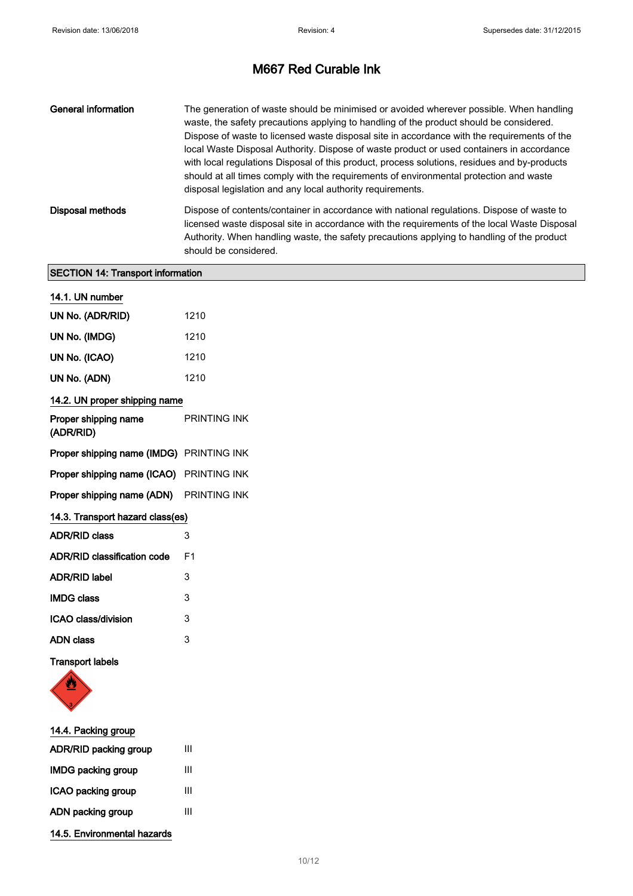| General information | The generation of waste should be minimised or avoided wherever possible. When handling<br>waste, the safety precautions applying to handling of the product should be considered.<br>Dispose of waste to licensed waste disposal site in accordance with the requirements of the<br>local Waste Disposal Authority. Dispose of waste product or used containers in accordance<br>with local regulations Disposal of this product, process solutions, residues and by-products<br>should at all times comply with the requirements of environmental protection and waste<br>disposal legislation and any local authority requirements. |
|---------------------|----------------------------------------------------------------------------------------------------------------------------------------------------------------------------------------------------------------------------------------------------------------------------------------------------------------------------------------------------------------------------------------------------------------------------------------------------------------------------------------------------------------------------------------------------------------------------------------------------------------------------------------|
| Disposal methods    | Dispose of contents/container in accordance with national regulations. Dispose of waste to<br>licensed waste disposal site in accordance with the requirements of the local Waste Disposal<br>Authority. When handling waste, the safety precautions applying to handling of the product<br>should be considered.                                                                                                                                                                                                                                                                                                                      |

### SECTION 14: Transport information

| 14.1. UN number                          |                     |  |  |
|------------------------------------------|---------------------|--|--|
| UN No. (ADR/RID)                         | 1210                |  |  |
| UN No. (IMDG)                            | 1210                |  |  |
| UN No. (ICAO)                            | 1210                |  |  |
| UN No. (ADN)                             | 1210                |  |  |
| 14.2. UN proper shipping name            |                     |  |  |
| Proper shipping name<br>(ADR/RID)        | <b>PRINTING INK</b> |  |  |
| Proper shipping name (IMDG) PRINTING INK |                     |  |  |
| Proper shipping name (ICAO) PRINTING INK |                     |  |  |
| Proper shipping name (ADN) PRINTING INK  |                     |  |  |
| 14.3. Transport hazard class(es)         |                     |  |  |
| <b>ADR/RID class</b>                     | 3                   |  |  |
| <b>ADR/RID classification code</b>       | F <sub>1</sub>      |  |  |
| <b>ADR/RID label</b>                     | 3                   |  |  |
| <b>IMDG class</b>                        | 3                   |  |  |
| ICAO class/division                      | 3                   |  |  |
| <b>ADN</b> class                         | 3                   |  |  |
|                                          |                     |  |  |

Transport labels



| 14.4. Packing group         |   |
|-----------------------------|---|
| ADR/RID packing group       | Ш |
| <b>IMDG packing group</b>   | Ш |
| ICAO packing group          | Ш |
| ADN packing group           | Ш |
| 14.5. Environmental hazards |   |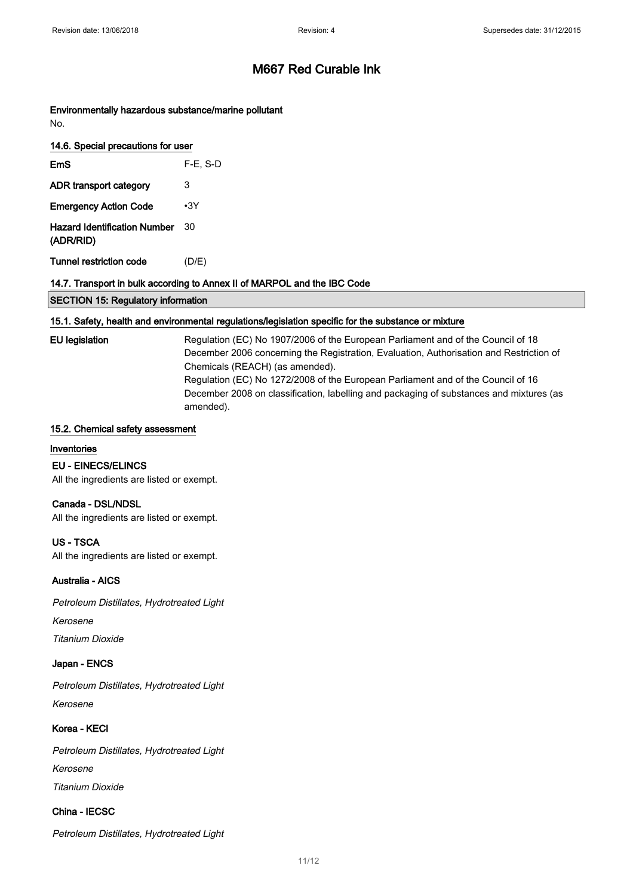Environmentally hazardous substance/marine pollutant No.

| 14.6. Special precautions for user               |             |  |
|--------------------------------------------------|-------------|--|
| EmS                                              | $F-E$ , S-D |  |
| ADR transport category                           | 3           |  |
| <b>Emergency Action Code</b>                     | •3Y         |  |
| <b>Hazard Identification Number</b><br>(ADR/RID) | 30          |  |
| <b>Tunnel restriction code</b>                   | (D/E)       |  |

#### 14.7. Transport in bulk according to Annex II of MARPOL and the IBC Code

|  | <b>SECTION 15: Regulatory information</b> |
|--|-------------------------------------------|
|  |                                           |

#### 15.1. Safety, health and environmental regulations/legislation specific for the substance or mixture

EU legislation Regulation (EC) No 1907/2006 of the European Parliament and of the Council of 18 December 2006 concerning the Registration, Evaluation, Authorisation and Restriction of Chemicals (REACH) (as amended). Regulation (EC) No 1272/2008 of the European Parliament and of the Council of 16 December 2008 on classification, labelling and packaging of substances and mixtures (as amended).

#### 15.2. Chemical safety assessment

### Inventories

EU - EINECS/ELINCS

All the ingredients are listed or exempt.

#### Canada - DSL/NDSL

All the ingredients are listed or exempt.

#### US - TSCA

All the ingredients are listed or exempt.

#### Australia - AICS

Petroleum Distillates, Hydrotreated Light

Kerosene

Titanium Dioxide

#### Japan - ENCS

Petroleum Distillates, Hydrotreated Light Kerosene

#### Korea - KECI

Petroleum Distillates, Hydrotreated Light Kerosene Titanium Dioxide

### China - IECSC

Petroleum Distillates, Hydrotreated Light